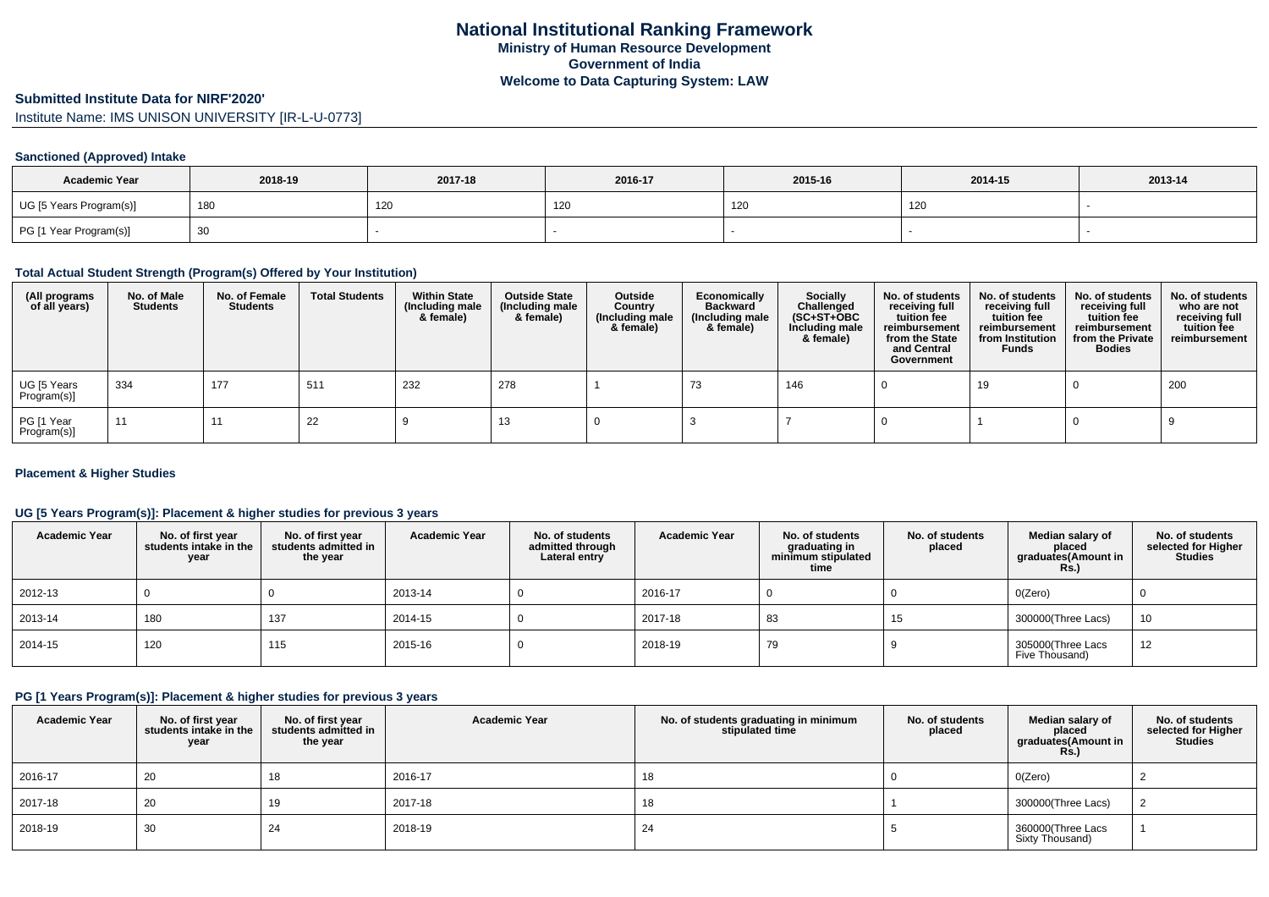### **Submitted Institute Data for NIRF'2020'**

Institute Name: IMS UNISON UNIVERSITY [IR-L-U-0773]

## **Sanctioned (Approved) Intake**

| <b>Academic Year</b>    | 2018-19 | 2017-18 | 2016-17 | 2015-16 | 2014-15 | 2013-14 |
|-------------------------|---------|---------|---------|---------|---------|---------|
| UG [5 Years Program(s)] | 180     | 120     | 120     | 120     | 120     |         |
| PG [1 Year Program(s)]  |         |         |         |         |         |         |

#### **Total Actual Student Strength (Program(s) Offered by Your Institution)**

| (All programs<br>of all years) | No. of Male<br><b>Students</b> | No. of Female<br>Students | <b>Total Students</b> | <b>Within State</b><br>(Including male<br>& female) | <b>Outside State</b><br>(Including male<br>& female) | Outside<br>Country<br>(Including male<br>& female) | Economically<br><b>Backward</b><br>(Including male<br>& female) | <b>Socially</b><br>Challenged<br>$(SC+ST+OBC)$<br>Including male<br>& female) | No. of students<br>receiving full<br>tuition fee<br>reimbursement<br>from the State<br>and Central<br>Government | No. of students<br>receiving full<br>tuition fee<br>reimbursement<br>from Institution<br><b>Funds</b> | No. of students<br>receiving full<br>tuition fee<br>reimbursement<br>from the Private<br><b>Bodies</b> | No. of students<br>who are not<br>receiving full<br>tuition fee<br>reimbursement |
|--------------------------------|--------------------------------|---------------------------|-----------------------|-----------------------------------------------------|------------------------------------------------------|----------------------------------------------------|-----------------------------------------------------------------|-------------------------------------------------------------------------------|------------------------------------------------------------------------------------------------------------------|-------------------------------------------------------------------------------------------------------|--------------------------------------------------------------------------------------------------------|----------------------------------------------------------------------------------|
| UG [5 Years<br>Program(s)]     | 334                            | 177                       | 511                   | 232                                                 | 278                                                  |                                                    | 73                                                              | 146                                                                           |                                                                                                                  | 19                                                                                                    |                                                                                                        | 200                                                                              |
| PG [1 Year<br>Program(s)]      | 11                             | -11                       | 22                    |                                                     | 10                                                   |                                                    |                                                                 |                                                                               |                                                                                                                  |                                                                                                       |                                                                                                        |                                                                                  |

## **Placement & Higher Studies**

## **UG [5 Years Program(s)]: Placement & higher studies for previous 3 years**

| <b>Academic Year</b> | No. of first year<br>students intake in the<br>year | No. of first year<br>students admitted in<br>the year | <b>Academic Year</b> | No. of students<br>admitted through<br>Lateral entry | <b>Academic Year</b> | No. of students<br>graduating in<br>minimum stipulated<br>time | No. of students<br>placed | Median salary of<br>placed<br>graduates(Amount in<br><b>Rs.)</b> | No. of students<br>selected for Higher<br><b>Studies</b> |
|----------------------|-----------------------------------------------------|-------------------------------------------------------|----------------------|------------------------------------------------------|----------------------|----------------------------------------------------------------|---------------------------|------------------------------------------------------------------|----------------------------------------------------------|
| 2012-13              |                                                     |                                                       | 2013-14              |                                                      | 2016-17              |                                                                |                           | O(Zero)                                                          |                                                          |
| 2013-14              | 180                                                 | 137                                                   | 2014-15              |                                                      | 2017-18              | 83                                                             | 15                        | 300000(Three Lacs)                                               | 10                                                       |
| 2014-15              | 120                                                 | 115                                                   | 2015-16              |                                                      | 2018-19              | 79                                                             |                           | 305000(Three Lacs<br>Five Thousand)                              | 12                                                       |

#### **PG [1 Years Program(s)]: Placement & higher studies for previous 3 years**

| <b>Academic Year</b> | No. of first year<br>students intake in the<br>year | No. of first year<br>students admitted in<br>the year | <b>Academic Year</b> | No. of students graduating in minimum<br>stipulated time | No. of students<br>placed | Median salary of<br>placed<br>graduates(Amount in<br>R <sub>s</sub> | No. of students<br>selected for Higher<br><b>Studies</b> |
|----------------------|-----------------------------------------------------|-------------------------------------------------------|----------------------|----------------------------------------------------------|---------------------------|---------------------------------------------------------------------|----------------------------------------------------------|
| 2016-17              | 20                                                  | 18                                                    | 2016-17              | 18                                                       |                           | O(Zero)                                                             |                                                          |
| 2017-18              | 20                                                  | 19                                                    | 2017-18              | 18                                                       |                           | 300000(Three Lacs)                                                  |                                                          |
| 2018-19              | 30                                                  | -24                                                   | 2018-19              | 24                                                       |                           | 360000(Three Lacs<br>Sixty Thousand)                                |                                                          |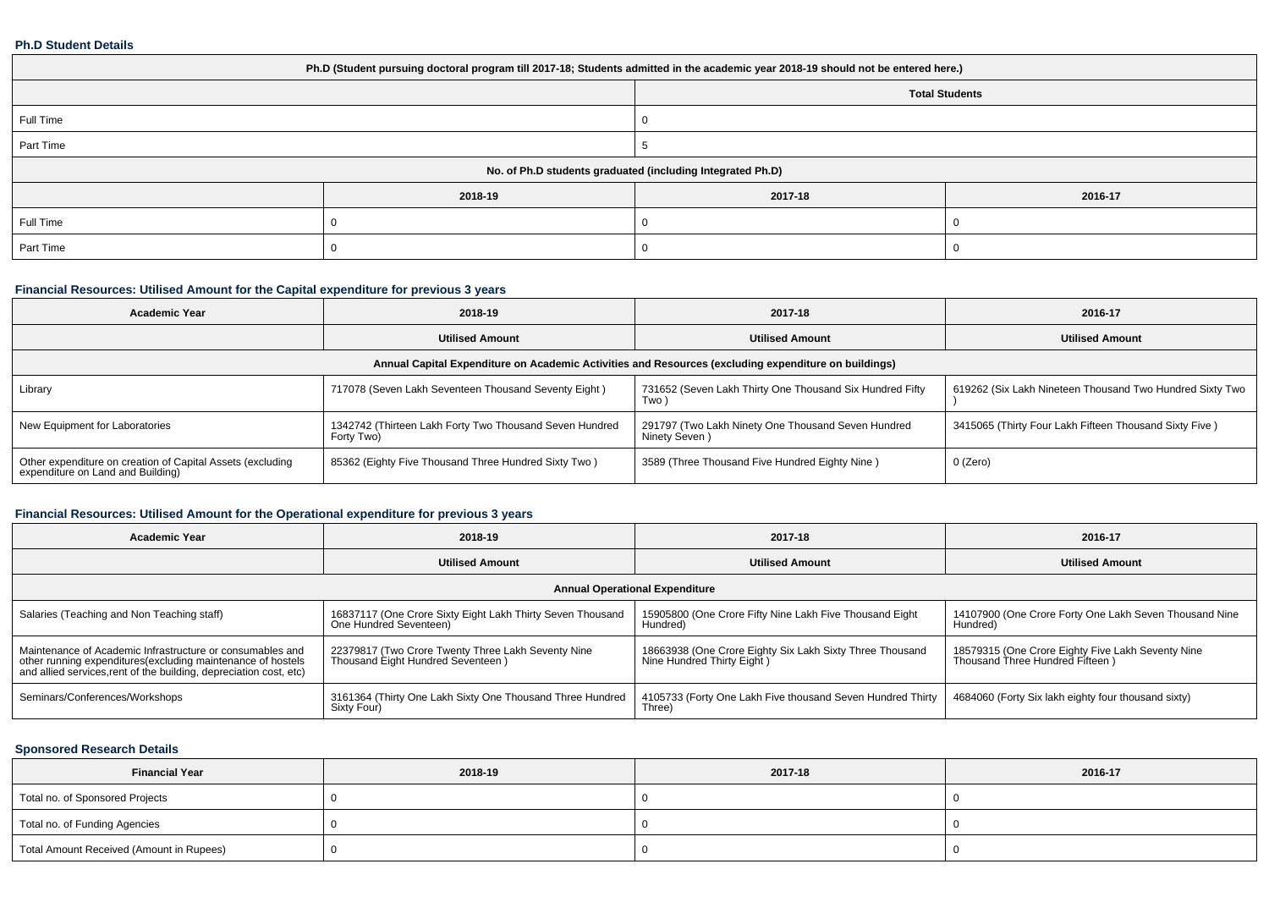#### **Ph.D Student Details**

| Ph.D (Student pursuing doctoral program till 2017-18; Students admitted in the academic year 2018-19 should not be entered here.) |                       |                    |  |  |  |  |  |
|-----------------------------------------------------------------------------------------------------------------------------------|-----------------------|--------------------|--|--|--|--|--|
|                                                                                                                                   | <b>Total Students</b> |                    |  |  |  |  |  |
| Full Time                                                                                                                         |                       |                    |  |  |  |  |  |
| Part Time                                                                                                                         |                       |                    |  |  |  |  |  |
| No. of Ph.D students graduated (including Integrated Ph.D)                                                                        |                       |                    |  |  |  |  |  |
|                                                                                                                                   | 2018-19               | 2017-18<br>2016-17 |  |  |  |  |  |
| Full Time                                                                                                                         |                       |                    |  |  |  |  |  |
| Part Time                                                                                                                         |                       |                    |  |  |  |  |  |

## **Financial Resources: Utilised Amount for the Capital expenditure for previous 3 years**

| Academic Year                                                                                        | 2018-19                                                               |                                                                     | 2016-17                                                  |  |  |  |  |  |  |
|------------------------------------------------------------------------------------------------------|-----------------------------------------------------------------------|---------------------------------------------------------------------|----------------------------------------------------------|--|--|--|--|--|--|
|                                                                                                      | <b>Utilised Amount</b>                                                | <b>Utilised Amount</b>                                              | <b>Utilised Amount</b>                                   |  |  |  |  |  |  |
| Annual Capital Expenditure on Academic Activities and Resources (excluding expenditure on buildings) |                                                                       |                                                                     |                                                          |  |  |  |  |  |  |
| Library                                                                                              | 717078 (Seven Lakh Seventeen Thousand Seventy Eight)                  | 731652 (Seven Lakh Thirty One Thousand Six Hundred Fifty<br>Two     | 619262 (Six Lakh Nineteen Thousand Two Hundred Sixty Two |  |  |  |  |  |  |
| New Equipment for Laboratories                                                                       | 1342742 (Thirteen Lakh Forty Two Thousand Seven Hundred<br>Forty Two) | 291797 (Two Lakh Ninety One Thousand Seven Hundred<br>Ninety Seven) | 3415065 (Thirty Four Lakh Fifteen Thousand Sixty Five)   |  |  |  |  |  |  |
| Other expenditure on creation of Capital Assets (excluding<br>expenditure on Land and Building)      | 85362 (Eighty Five Thousand Three Hundred Sixty Two)                  | 3589 (Three Thousand Five Hundred Eighty Nine)                      | 0 (Zero)                                                 |  |  |  |  |  |  |

# **Financial Resources: Utilised Amount for the Operational expenditure for previous 3 years**

| <b>Academic Year</b>                                                                                                                                                                            | 2018-19                                                                                 | 2017-18                                                                                | 2016-17                                                                              |  |  |  |  |  |  |
|-------------------------------------------------------------------------------------------------------------------------------------------------------------------------------------------------|-----------------------------------------------------------------------------------------|----------------------------------------------------------------------------------------|--------------------------------------------------------------------------------------|--|--|--|--|--|--|
|                                                                                                                                                                                                 | <b>Utilised Amount</b>                                                                  | <b>Utilised Amount</b>                                                                 | <b>Utilised Amount</b>                                                               |  |  |  |  |  |  |
| <b>Annual Operational Expenditure</b>                                                                                                                                                           |                                                                                         |                                                                                        |                                                                                      |  |  |  |  |  |  |
| Salaries (Teaching and Non Teaching staff)                                                                                                                                                      | 16837117 (One Crore Sixty Eight Lakh Thirty Seven Thousand<br>One Hundred Seventeen)    | 15905800 (One Crore Fifty Nine Lakh Five Thousand Eight<br>Hundred)                    | 14107900 (One Crore Forty One Lakh Seven Thousand Nine<br>Hundred)                   |  |  |  |  |  |  |
| Maintenance of Academic Infrastructure or consumables and<br>other running expenditures (excluding maintenance of hostels<br>and allied services, rent of the building, depreciation cost, etc) | 22379817 (Two Crore Twenty Three Lakh Seventy Nine<br>Thousand Eight Hundred Seventeen) | 18663938 (One Crore Eighty Six Lakh Sixty Three Thousand<br>Nine Hundred Thirty Eight) | 18579315 (One Crore Eighty Five Lakh Seventy Nine<br>Thousand Three Hundred Fifteen) |  |  |  |  |  |  |
| Seminars/Conferences/Workshops                                                                                                                                                                  | 3161364 (Thirty One Lakh Sixty One Thousand Three Hundred<br>Sixty Four)                | 4105733 (Forty One Lakh Five thousand Seven Hundred Thirty<br>Three)                   | 4684060 (Forty Six lakh eighty four thousand sixty)                                  |  |  |  |  |  |  |

## **Sponsored Research Details**

| <b>Financial Year</b>                    | 2018-19 | 2017-18 | 2016-17 |
|------------------------------------------|---------|---------|---------|
| Total no. of Sponsored Projects          |         |         |         |
| Total no. of Funding Agencies            |         |         |         |
| Total Amount Received (Amount in Rupees) |         |         |         |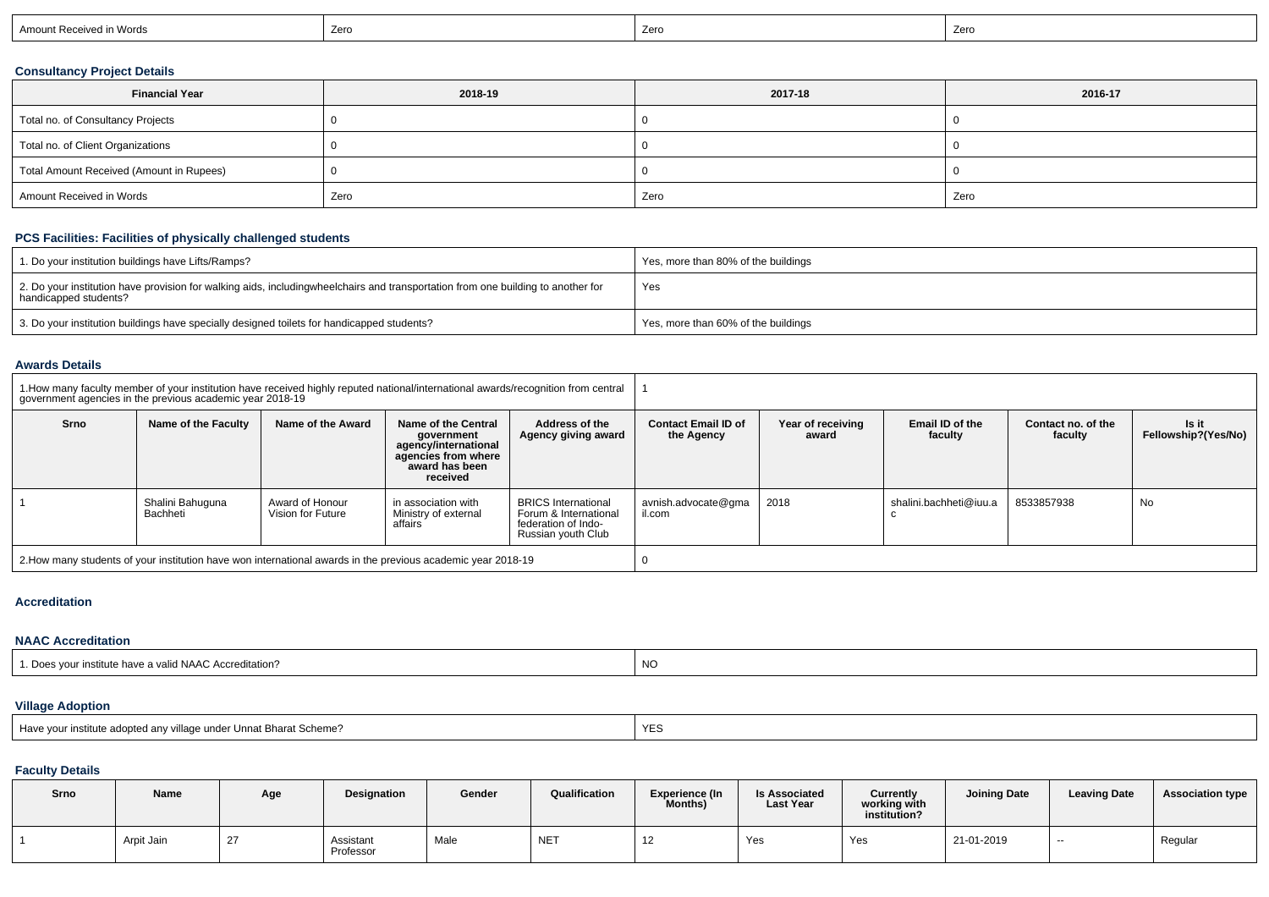| Amount Received in Words | 7 <sub>0</sub><br><b>LEIV</b> | Zero | Zero |
|--------------------------|-------------------------------|------|------|
|                          |                               |      |      |

## **Consultancy Project Details**

| <b>Financial Year</b>                    | 2018-19 | 2017-18 | 2016-17 |
|------------------------------------------|---------|---------|---------|
| Total no. of Consultancy Projects        |         |         |         |
| Total no. of Client Organizations        |         |         |         |
| Total Amount Received (Amount in Rupees) |         |         |         |
| Amount Received in Words                 | Zero    | Zero    | Zero    |

## **PCS Facilities: Facilities of physically challenged students**

| 1. Do your institution buildings have Lifts/Ramps?                                                                                                        | Yes, more than 80% of the buildings |
|-----------------------------------------------------------------------------------------------------------------------------------------------------------|-------------------------------------|
| 2. Do your institution have provision for walking aids, includingwheelchairs and transportation from one building to another for<br>handicapped students? | Yes                                 |
| 3. Do your institution buildings have specially designed toilets for handicapped students?                                                                | Yes, more than 60% of the buildings |

## **Awards Details**

| 1. How many faculty member of your institution have received highly reputed national/international awards/recognition from central<br>government agencies in the previous academic year 2018-19 |                              |                                      |                                                                                                                |                                                                                                  |                                          |                            |                            |                               |                              |
|-------------------------------------------------------------------------------------------------------------------------------------------------------------------------------------------------|------------------------------|--------------------------------------|----------------------------------------------------------------------------------------------------------------|--------------------------------------------------------------------------------------------------|------------------------------------------|----------------------------|----------------------------|-------------------------------|------------------------------|
| Srno                                                                                                                                                                                            | Name of the Faculty          | Name of the Award                    | Name of the Central<br>government<br>agency/international<br>agencies from where<br>award has been<br>received | Address of the<br>Agency giving award                                                            | <b>Contact Email ID of</b><br>the Agency | Year of receiving<br>award | Email ID of the<br>faculty | Contact no, of the<br>faculty | Is it<br>Fellowship?(Yes/No) |
|                                                                                                                                                                                                 | Shalini Bahuguna<br>Bachheti | Award of Honour<br>Vision for Future | in association with<br>Ministry of external<br>affairs                                                         | <b>BRICS</b> International<br>Forum & International<br>federation of Indo-<br>Russian youth Club | avnish.advocate@gma<br>il.com            | 2018                       | shalini.bachheti@iuu.a     | 8533857938                    | No                           |
| 2. How many students of your institution have won international awards in the previous academic year 2018-19                                                                                    |                              |                                      |                                                                                                                |                                                                                                  |                                          |                            |                            |                               |                              |

### **Accreditation**

## **NAAC Accreditation**

| . institute have a valid NAAC Accreditation? |           |
|----------------------------------------------|-----------|
| vou                                          | <b>NO</b> |
|                                              |           |

# **Village Adoption**

| Have your institute adopted any village under Unnat Bharat Scheme? | $\sqrt{2}$<br>YE. |
|--------------------------------------------------------------------|-------------------|
|--------------------------------------------------------------------|-------------------|

# **Faculty Details**

| Srno | Name       | Age      | Designation            | Gender | Qualification | <b>Experience (In</b><br>Months) | <b>Is Associated</b><br><b>Last Year</b> | <b>Currently</b><br>working with<br>institution? | <b>Joining Date</b> | <b>Leaving Date</b>      | <b>Association type</b> |
|------|------------|----------|------------------------|--------|---------------|----------------------------------|------------------------------------------|--------------------------------------------------|---------------------|--------------------------|-------------------------|
|      | Arpit Jain | <u>_</u> | Assistant<br>Professor | Male   | <b>NET</b>    | $\sqrt{2}$                       | Yes                                      | Yes                                              | 21-01-2019          | $\overline{\phantom{a}}$ | Regular                 |